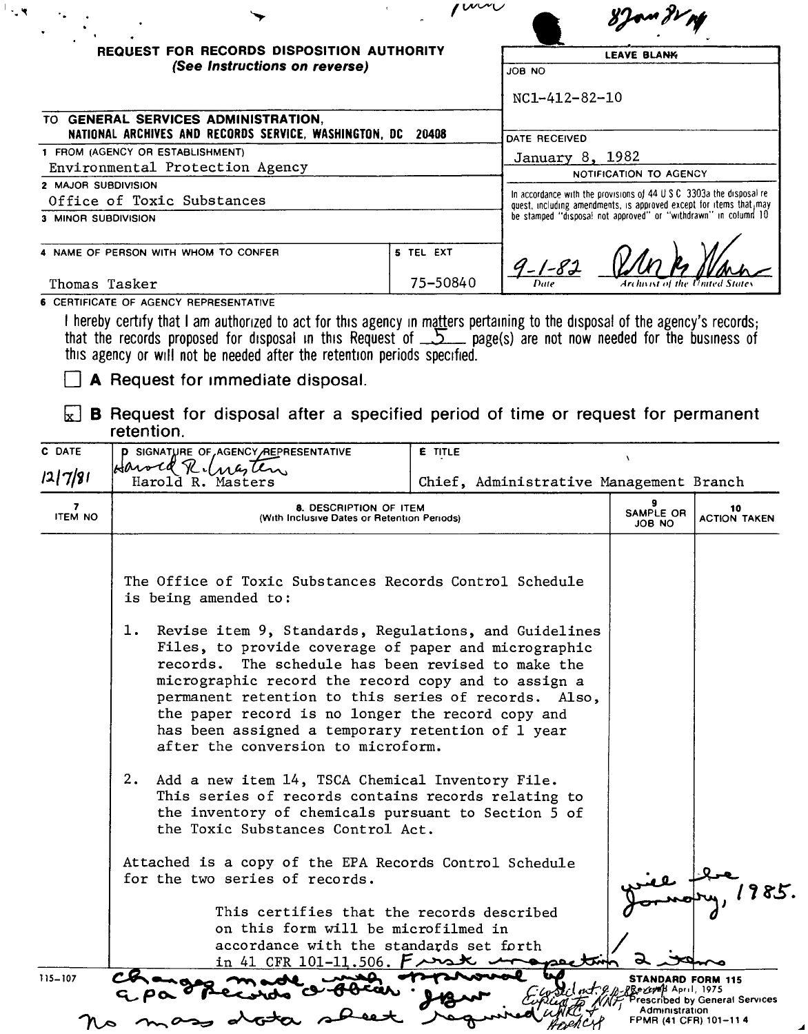|                     | <b>REQUEST FOR RECORDS DISPOSITION AUTHORITY</b>                                                                                                                                                                                                                                                               |           |                                                                                                                                              | <b>LEAVE BLANK</b> |  |  |
|---------------------|----------------------------------------------------------------------------------------------------------------------------------------------------------------------------------------------------------------------------------------------------------------------------------------------------------------|-----------|----------------------------------------------------------------------------------------------------------------------------------------------|--------------------|--|--|
|                     | (See Instructions on reverse)<br>TO GENERAL SERVICES ADMINISTRATION.<br>NATIONAL ARCHIVES AND RECORDS SERVICE, WASHINGTON, DC 20408                                                                                                                                                                            |           | ON BOL                                                                                                                                       |                    |  |  |
|                     |                                                                                                                                                                                                                                                                                                                |           | NC1-412-82-10                                                                                                                                |                    |  |  |
|                     |                                                                                                                                                                                                                                                                                                                |           | DATE RECEIVED                                                                                                                                |                    |  |  |
|                     | 1 FROM (AGENCY OR ESTABLISHMENT)                                                                                                                                                                                                                                                                               |           |                                                                                                                                              |                    |  |  |
|                     | Environmental Protection Agency                                                                                                                                                                                                                                                                                |           | January 8, 1982<br>NOTIFICATION TO AGENCY                                                                                                    |                    |  |  |
| 2 MAJOR SUBDIVISION |                                                                                                                                                                                                                                                                                                                |           |                                                                                                                                              |                    |  |  |
|                     | Office of Toxic Substances                                                                                                                                                                                                                                                                                     |           | In accordance with the provisions of 44 U.S.C. 3303a the disposal re-<br>quest, including amendments, is approved except for items that, may |                    |  |  |
| 3 MINOR SUBDIVISION |                                                                                                                                                                                                                                                                                                                |           | be stamped "disposal not approved" or "withdrawn" in column 10                                                                               |                    |  |  |
|                     | 4 NAME OF PERSON WITH WHOM TO CONFER                                                                                                                                                                                                                                                                           | 5 TEL EXT |                                                                                                                                              |                    |  |  |
|                     |                                                                                                                                                                                                                                                                                                                |           |                                                                                                                                              |                    |  |  |
| Thomas Tasker       |                                                                                                                                                                                                                                                                                                                | 75-50840  | $9 - 1 - 82$                                                                                                                                 |                    |  |  |
|                     | <b>6 CERTIFICATE OF AGENCY REPRESENTATIVE</b>                                                                                                                                                                                                                                                                  |           |                                                                                                                                              |                    |  |  |
|                     | I hereby certify that I am authorized to act for this agency in matters pertaining to the disposal of the agency's records;<br>that the records proposed for disposal in this Request of $\sum$ page(s) are not now needed for the<br>this agency or will not be needed after the retention periods specified. |           |                                                                                                                                              |                    |  |  |
|                     | A Request for immediate disposal.                                                                                                                                                                                                                                                                              |           |                                                                                                                                              |                    |  |  |
|                     | <b>B</b> Request for disposal after a specified period of time or request for permanent<br>retention.                                                                                                                                                                                                          |           |                                                                                                                                              |                    |  |  |
| C DATE              | <b>P SIGNATURE OF AGENCY REPRESENTATIVE</b>                                                                                                                                                                                                                                                                    | E TITLE   |                                                                                                                                              | $\lambda$          |  |  |
| 2 7 8               | Harold<br>Harold R. Masters                                                                                                                                                                                                                                                                                    |           | Chief, Administrative Management Branch                                                                                                      |                    |  |  |

- 1. Revise item 9, Standards, Regulations, and Guidelines Files, to provide coverage of paper and micrographic records. The schedule has been revised to make the micrographic record the record copy and to assign a permanent retention to this series of records. Also, the paper record is no longer the record copy and has been assigned a temporary retention of 1 year after the conversion to microform.
- 2. Add a new item 14, TSCA Chemical Inventory File. This series of records contains records relating to the inventory of chemicals pursuant to Section 5 of the Toxic Substances Control Act.

Attached is a copy of the EPA Records Control Schedule for the two series of records.

atota

*<sup>I</sup>* This certifies that the records described on this form will be microfilmed in accordance with the standards set forth in 41 CFR 101-11.506.  $F \rightarrow$ 

 $G.P\infty$ 

*<sup>1</sup>'1 es.*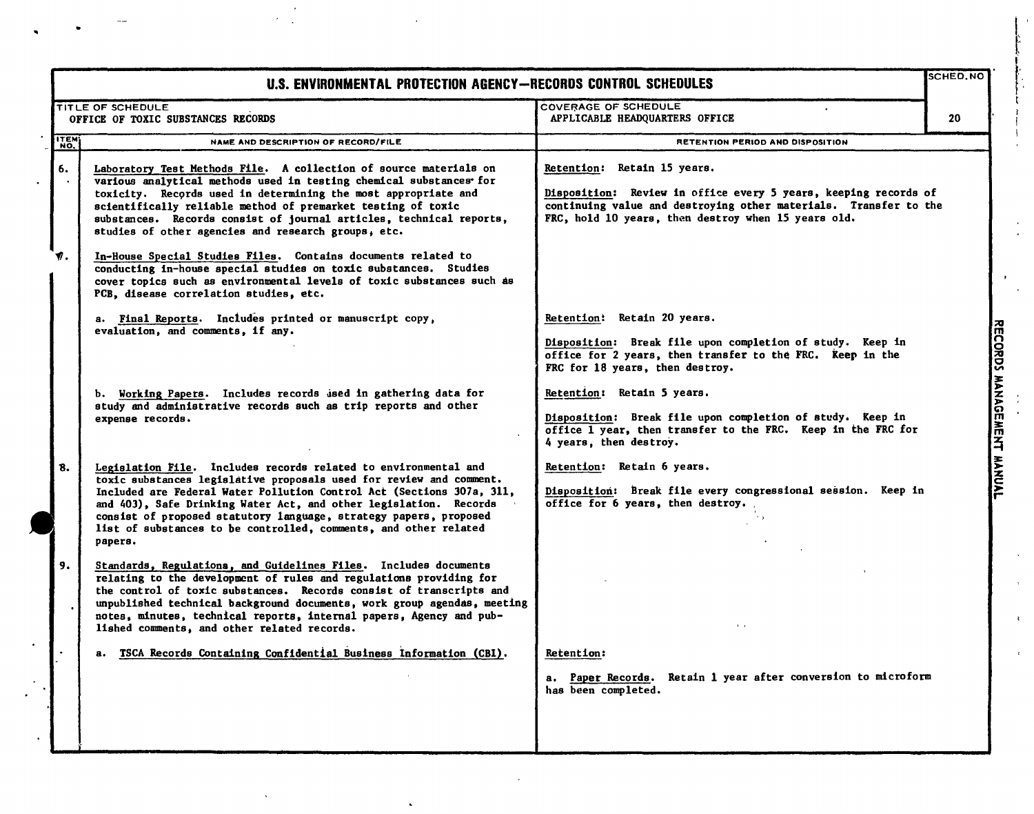|              | <b>SCHED.NO</b><br>U.S. ENVIRONMENTAL PROTECTION AGENCY-RECORDS CONTROL SCHEDULES                                                                                                                                                                                                                                                                                                                                                                                                                                                                                                                                     |                                                                                                                                                                                                                           |                           |
|--------------|-----------------------------------------------------------------------------------------------------------------------------------------------------------------------------------------------------------------------------------------------------------------------------------------------------------------------------------------------------------------------------------------------------------------------------------------------------------------------------------------------------------------------------------------------------------------------------------------------------------------------|---------------------------------------------------------------------------------------------------------------------------------------------------------------------------------------------------------------------------|---------------------------|
|              | TITLE OF SCHEDULE<br>OFFICE OF TOXIC SUBSTANCES RECORDS                                                                                                                                                                                                                                                                                                                                                                                                                                                                                                                                                               | <b>COVERAGE OF SCHEDULE</b><br>APPLICABLE HEADQUARTERS OFFICE                                                                                                                                                             | 20                        |
| <b>ITEM</b>  | NAME AND DESCRIPTION OF RECORD/FILE                                                                                                                                                                                                                                                                                                                                                                                                                                                                                                                                                                                   | RETENTION PERIOD AND DISPOSITION                                                                                                                                                                                          |                           |
| 6.<br>V.     | Laboratory Test Methods File. A collection of source materials on<br>various analytical methods used in testing chemical substances for<br>toxicity. Records used in determining the most appropriate and<br>scientifically reliable method of premarket testing of toxic<br>substances. Records consist of journal articles, technical reports,<br>studies of other agencies and research groups, etc.<br>In-House Special Studies Files. Contains documents related to<br>conducting in-house special studies on toxic substances. Studies<br>cover topics such as environmental levels of toxic substances such as | Retention: Retain 15 years.<br>Disposition: Review in office every 5 years, keeping records of<br>continuing value and destroying other materials. Transfer to the<br>FRC, hold 10 years, then destroy when 15 years old. |                           |
|              | PCB, disease correlation studies, etc.<br>a. Final Reports. Includes printed or manuscript copy,<br>evaluation, and comments, if any.                                                                                                                                                                                                                                                                                                                                                                                                                                                                                 | Retention: Retain 20 years.<br>Disposition: Break file upon completion of study. Keep in<br>office for 2 years, then transfer to the FRC. Reep in the<br>FRC for 18 years, then destroy.                                  |                           |
|              | b. Working Papers. Includes records used in gathering data for<br>study and administrative records such as trip reports and other<br>expense records.                                                                                                                                                                                                                                                                                                                                                                                                                                                                 | Retention: Retain 5 years.<br>Disposition: Break file upon completion of study. Keep in<br>office 1 year, then transfer to the FRC. Keep in the FRC for<br>4 years, then destroy.                                         | RECORDS MANAGEMENT MANUAL |
| $\mathbf{8}$ | Legislation File. Includes records related to environmental and<br>toxic substances legislative proposals used for review and comment.<br>Included are Federal Water Pollution Control Act (Sections 307a, 311,<br>and 403), Safe Drinking Water Act, and other legislation. Records<br>consist of proposed statutory language, strategy papers, proposed<br>list of substances to be controlled, comments, and other related<br>papers.                                                                                                                                                                              | Retention: Retain 6 years.<br>Disposition: Break file every congressional session. Keep in<br>office for 6 years, then destroy.                                                                                           |                           |
| 9.           | Standards, Regulations, and Guidelines Files. Includes documents<br>relating to the development of rules and regulations providing for<br>the control of toxic substances. Records consist of transcripts and<br>unpublished technical background documents, work group agendas, meeting<br>notes, minutes, technical reports, internal papers, Agency and pub-<br>lished comments, and other related records.                                                                                                                                                                                                        |                                                                                                                                                                                                                           |                           |
|              | TSCA Records Containing Confidential Business Information (CBI).                                                                                                                                                                                                                                                                                                                                                                                                                                                                                                                                                      | <b>Ketention:</b><br>Paper Records. Retain 1 year after conversion to microform<br>а.<br>has been completed.                                                                                                              |                           |

 $\hat{\mathbf{v}}$ 

 $\begin{array}{c} \frac{1}{2} \\ \frac{1}{2} \\ 0 \end{array}$ 

 $\mathbf{r}$ 

 $\bar{z}$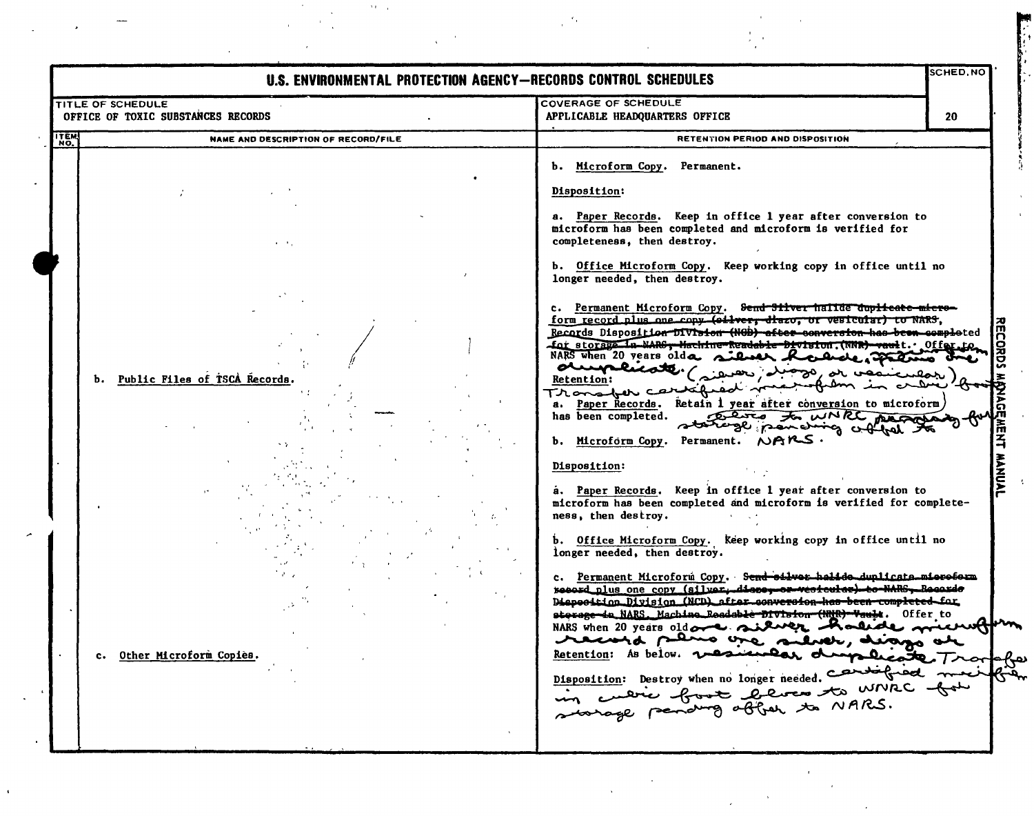| TITLE OF SCHEDULE |                                     | U.S. ENVIRONMENTAL PROTECTION AGENCY-RECORDS CONTROL SCHEDULES<br><b>COVERAGE OF SCHEDULE</b>                                                                                                                                                                                                                                                        |
|-------------------|-------------------------------------|------------------------------------------------------------------------------------------------------------------------------------------------------------------------------------------------------------------------------------------------------------------------------------------------------------------------------------------------------|
|                   | OFFICE OF TOXIC SUBSTANCES RECORDS  | APPLICABLE HEADQUARTERS OFFICE<br>20                                                                                                                                                                                                                                                                                                                 |
| <b>TTEM</b>       | NAME AND DESCRIPTION OF RECORD/FILE | RETENTION PERIOD AND DISPOSITION                                                                                                                                                                                                                                                                                                                     |
|                   |                                     | b. Microform Copy. Permanent.                                                                                                                                                                                                                                                                                                                        |
|                   |                                     | Disposition:                                                                                                                                                                                                                                                                                                                                         |
|                   | $1 - 1$                             | a. Paper Records. Keep in office 1 year after conversion to<br>microform has been completed and microform is verified for<br>completeness, then destroy.                                                                                                                                                                                             |
|                   |                                     | b. Office Microform Copy. Keep working copy in office until no<br>longer needed, then destroy.                                                                                                                                                                                                                                                       |
|                   |                                     | c. Permanent Microform Copy. Send Silver hallde duplicate micro-<br>form record plus one copy (oilver, diazo, or vesicular) to NARS,<br>Records Disposition Division (NGB) after conversion has been completed<br>for storage in NARG, Hachine-Readable-Division. (NNR) vault. Offer to<br>NARS when 20 years older silver house and the<br>aumenst. |
| ъ.                | Public Files of ISCA Records.       | so, or vesicular<br>Retention:<br>Transfer carriared in<br>frem in crew 'tto                                                                                                                                                                                                                                                                         |
|                   |                                     | a. Paper Records. Retain 1 year after conversion to microform)<br>has been completed.<br>Deves to WNRC peoples.<br>statingly panding culture<br>b. Microform Copy. Permanent. NARS.                                                                                                                                                                  |
|                   |                                     | Disposition:                                                                                                                                                                                                                                                                                                                                         |
|                   |                                     | a. Paper Records. Keep in office 1 year after conversion to<br>microform has been completed and microform is verified for complete-<br>ness, then destroy.                                                                                                                                                                                           |
|                   |                                     | b. Office Microform Copy. Keep working copy in office until no<br>longer needed, then destroy.                                                                                                                                                                                                                                                       |
|                   |                                     | c. Permanent Microform Copy. Send silver halide duplicate mieroform<br>non the fact of the Boords<br>ed plus one copy (silver, die<br>Disposition Division (NCD) after conversion has been completed for<br>sterage-in NARS. Machine Readable Division (NMR) Vault. Offer to<br>NARS when 20 years old over silver Rolide microfor                   |
| $\mathbf{c}$ .    | Other Microform Copies.             | record plino are silver, diago are<br>Retention: As below. wesnessed drapplicate Tre                                                                                                                                                                                                                                                                 |
|                   |                                     | Disposition: Destroy when no longer needed.<br>in cuerie fort bevoor to write for                                                                                                                                                                                                                                                                    |
|                   |                                     |                                                                                                                                                                                                                                                                                                                                                      |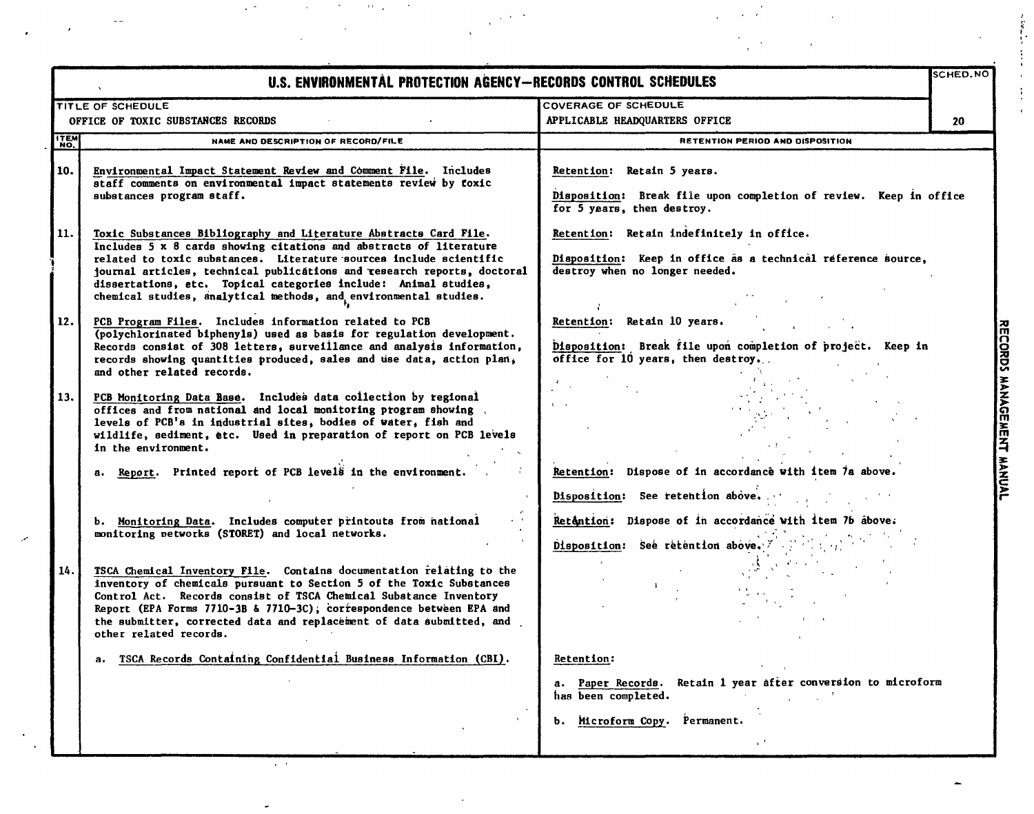|             | U.S. ENVIRONMENTAL PROTECTION AGENCY-RECORDS CONTROL SCHEDULES                                                                                                                                                                                                                                                                                                                                                                  |                                                                                                                                             | SCHED.NO |
|-------------|---------------------------------------------------------------------------------------------------------------------------------------------------------------------------------------------------------------------------------------------------------------------------------------------------------------------------------------------------------------------------------------------------------------------------------|---------------------------------------------------------------------------------------------------------------------------------------------|----------|
|             | TITLE OF SCHEDULE                                                                                                                                                                                                                                                                                                                                                                                                               | COVERAGE OF SCHEDULE                                                                                                                        |          |
|             | OFFICE OF TOXIC SUBSTANCES RECORDS                                                                                                                                                                                                                                                                                                                                                                                              | APPLICABLE HEADQUARTERS OFFICE                                                                                                              | 20       |
| <b>ITEM</b> | NAME AND DESCRIPTION OF RECORD/FILE                                                                                                                                                                                                                                                                                                                                                                                             | RETENTION PERIOD AND DISPOSITION                                                                                                            |          |
| 10.         | Environmental Impact Statement Review and Comment File. Includes<br>staff comments on environmental impact statements review by foxic<br>substances program staff.                                                                                                                                                                                                                                                              | Retention: Retain 5 years.<br>Disposition: Break file upon completion of review. Keep in office<br>for 5 years, then destroy.               |          |
| 11.         | Toxic Substances Bibliography and Literature Abstracts Card File.<br>Includes 5 x 8 cards showing citations and abstracts of literature<br>related to toxic substances. Literature sources include scientific<br>journal articles, technical publications and research reports, doctoral<br>dissertations, etc. Topical categories include: Animal studies,<br>chemical studies, analytical methods, and environmental studies. | Retention: Retain indefinitely in office.<br>Disposition: Keep in office as a technical reference source,<br>destroy when no longer needed. |          |
| 12.         | PCB Program Files. Includes information related to PCB<br>(polychlorinated biphenyls) used as basis for regulation development.<br>Records consist of 308 letters, surveillance and analysis information,<br>records showing quantities produced, sales and use data, action plan,<br>and other related records.                                                                                                                | Retention: Retain 10 years.<br>Disposition: Break file upon completion of project. Keep in<br>office for 10 years, then destroy.            |          |
| 13.         | PCB Monitoring Data Base. Includes data collection by regional<br>offices and from national and local monitoring program showing.<br>levels of PCB's in industrial sites, bodies of water, fish and<br>wildlife, sediment, etc. Used in preparation of report on PCB levels<br>in the environment.                                                                                                                              |                                                                                                                                             |          |
|             | a. Report. Printed report of PCB levels in the environment.                                                                                                                                                                                                                                                                                                                                                                     | Retention: Dispose of in accordance with item 7a above.                                                                                     |          |
|             |                                                                                                                                                                                                                                                                                                                                                                                                                                 | Disposition: See retention above.                                                                                                           |          |
|             | b. Monitoring Data. Includes computer printouts from national<br>monitoring networks (STORET) and local networks.                                                                                                                                                                                                                                                                                                               | Retantion: Dispose of in accordance with item 76 above.                                                                                     |          |
|             |                                                                                                                                                                                                                                                                                                                                                                                                                                 |                                                                                                                                             |          |
|             |                                                                                                                                                                                                                                                                                                                                                                                                                                 | Disposition: See retention above. X .                                                                                                       |          |
| 14.         | TSCA Chemical Inventory File. Contains documentation relating to the<br>inventory of chemicals pursuant to Section 5 of the Toxic Substances<br>Control Act. Records consist of TSCA Chemical Substance Inventory<br>Report (EPA Forms 7710-3B & 7710-3C); correspondence between EPA and<br>the submitter, corrected data and replacement of data submitted, and<br>other related records.                                     |                                                                                                                                             |          |
|             | TSCA Records Containing Confidential Business Information (CBI).<br>а.                                                                                                                                                                                                                                                                                                                                                          | Retention:                                                                                                                                  |          |
|             |                                                                                                                                                                                                                                                                                                                                                                                                                                 | Retain 1 year after conversion to microform<br>a. Paper Records.<br>has been completed.                                                     |          |
|             |                                                                                                                                                                                                                                                                                                                                                                                                                                 | Permanent.<br>Microform Copy.<br>ь.                                                                                                         |          |
|             |                                                                                                                                                                                                                                                                                                                                                                                                                                 |                                                                                                                                             |          |

 $\mathcal{L}^{\mathcal{L}}(\mathcal{L}^{\mathcal{L}}(\mathcal{L}^{\mathcal{L}}(\mathcal{L}^{\mathcal{L}}(\mathcal{L}^{\mathcal{L}}(\mathcal{L}^{\mathcal{L}}(\mathcal{L}^{\mathcal{L}}(\mathcal{L}^{\mathcal{L}}(\mathcal{L}^{\mathcal{L}}(\mathcal{L}^{\mathcal{L}}(\mathcal{L}^{\mathcal{L}}(\mathcal{L}^{\mathcal{L}}(\mathcal{L}^{\mathcal{L}}(\mathcal{L}^{\mathcal{L}}(\mathcal{L}^{\mathcal{L}}(\mathcal{L}^{\mathcal{L}}(\mathcal{L}^{\mathcal{L$ 

·' , " ,"I